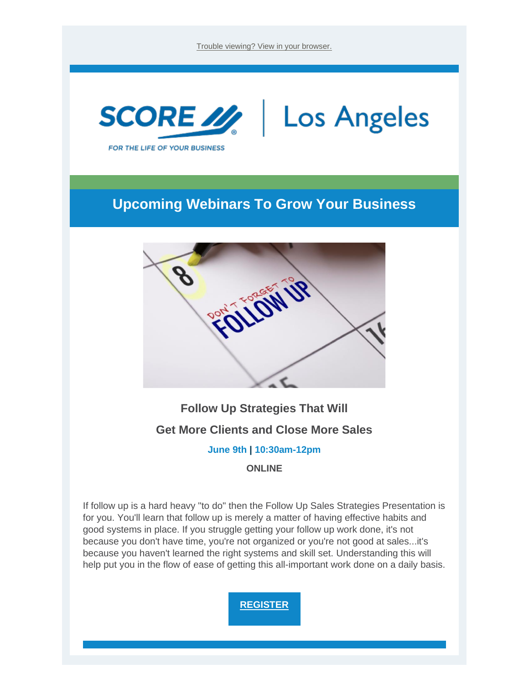[Trouble viewing? View in your browser.](https://nam12.safelinks.protection.outlook.com/?url=https%3A%2F%2Fr20.rs6.net%2Ftn.jsp%3Ff%3D0015gCc1HySa3oUf7uDCTWhgEkWehf_RzYxKOLGKLrHgJNVN1mpxHTFeqFizGhmBT9hK5tPBGTOdnmNh3blGwyHhPegeqFKth6Oghe4EK7_NH70hlFuIZCOc2uTlWOkLM_XzDAHByQ5hafRiFnR7lz3Dg%3D%3D%26c%3DOc-0wwwQIE94G6zPR_YMldlYEN7w4q9isqnMg2q2kBmibyRffFA6wg%3D%3D%26ch%3DajgpDt6IMocCf2cny2DQpwOe7bZKIF8mDzE-D8EkYJpIo7oKJjaICw%3D%3D&data=05%7C01%7C%7C5c4766c61ebc4fb063c508da49be6207%7C84df9e7fe9f640afb435aaaaaaaaaaaa%7C1%7C0%7C637903379298867330%7CUnknown%7CTWFpbGZsb3d8eyJWIjoiMC4wLjAwMDAiLCJQIjoiV2luMzIiLCJBTiI6Ik1haWwiLCJXVCI6Mn0%3D%7C3000%7C%7C%7C&sdata=P1oIGq3hlZtHC7qQyxuuqedsYRIBve34SGBgIsls8xw%3D&reserved=0)



### **Upcoming Webinars To Grow Your Business**



**Follow Up Strategies That Will** 

**Get More Clients and Close More Sales** 

**June 9th | 10:30am-12pm**

**ONLINE**

If follow up is a hard heavy "to do" then the Follow Up Sales Strategies Presentation is for you. You'll learn that follow up is merely a matter of having effective habits and good systems in place. If you struggle getting your follow up work done, it's not because you don't have time, you're not organized or you're not good at sales...it's because you haven't learned the right systems and skill set. Understanding this will help put you in the flow of ease of getting this all-important work done on a daily basis.

**[REGISTER](https://nam12.safelinks.protection.outlook.com/?url=https%3A%2F%2Fr20.rs6.net%2Ftn.jsp%3Ff%3D0015gCc1HySa3oUf7uDCTWhgEkWehf_RzYxKOLGKLrHgJNVN1mpxHTFevUDRjtKqkJjqR2oG1p-ln06u6FL3A0pxFFtNyQOhE5PUGv69y1GexsJ0nMsTWmUR_SZJtC0VHVMduQQ6SE_x3lGVeF90HQTbvaPcl7LM5q5lytdxHFOVqejUJXJW_K1Eprl3xQDiods_iIWID9WiYntGKlBsbMkRgTLggTjFxMpYFldRf86nZmrO71a4zXvBA%3D%3D%26c%3DOc-0wwwQIE94G6zPR_YMldlYEN7w4q9isqnMg2q2kBmibyRffFA6wg%3D%3D%26ch%3DajgpDt6IMocCf2cny2DQpwOe7bZKIF8mDzE-D8EkYJpIo7oKJjaICw%3D%3D&data=05%7C01%7C%7C5c4766c61ebc4fb063c508da49be6207%7C84df9e7fe9f640afb435aaaaaaaaaaaa%7C1%7C0%7C637903379298867330%7CUnknown%7CTWFpbGZsb3d8eyJWIjoiMC4wLjAwMDAiLCJQIjoiV2luMzIiLCJBTiI6Ik1haWwiLCJXVCI6Mn0%3D%7C3000%7C%7C%7C&sdata=hcp06H2UM1XXxF2jqCXO1tD8UGmpWUnyDfqJQRmLsbE%3D&reserved=0)**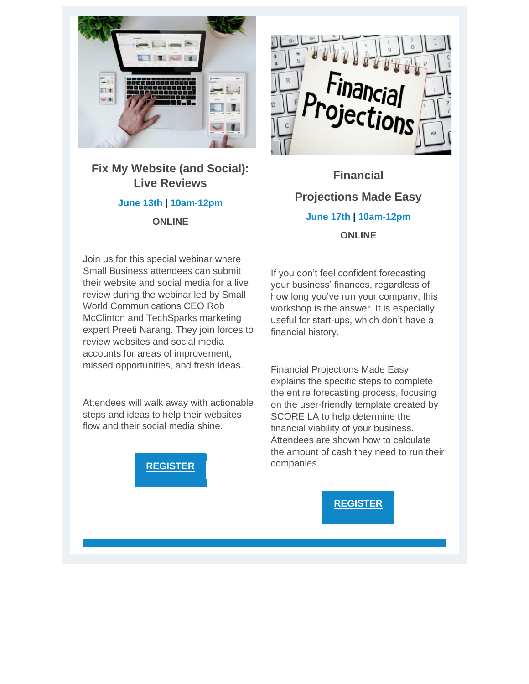

**Fix My Website (and Social): Live Reviews**

#### **June 13th | 10am-12pm**

**ONLINE**



**Financial Projections Made Easy June 17th | 10am-12pm ONLINE**

Join us for this special webinar where Small Business attendees can submit their website and social media for a live review during the webinar led by Small World Communications CEO Rob McClinton and TechSparks marketing expert Preeti Narang. They join forces to review websites and social media accounts for areas of improvement, missed opportunities, and fresh ideas.

Attendees will walk away with actionable steps and ideas to help their websites flow and their social media shine.



If you don't feel confident forecasting your business' finances, regardless of how long you've run your company, this workshop is the answer. It is especially useful for start-ups, which don't have a financial history.

Financial Projections Made Easy explains the specific steps to complete the entire forecasting process, focusing on the user-friendly template created by SCORE LA to help determine the financial viability of your business. Attendees are shown how to calculate the amount of cash they need to run their companies.

**[REGISTER](https://nam12.safelinks.protection.outlook.com/?url=https%3A%2F%2Fr20.rs6.net%2Ftn.jsp%3Ff%3D0015gCc1HySa3oUf7uDCTWhgEkWehf_RzYxKOLGKLrHgJNVN1mpxHTFeq2aWzI8Pw_8gve_VxriOpPUL2V-J-4HMhyULfFEWVpBau6v0absfAhld9yv8ikQ_OuWrovYiUYaFsPoSkGQJ3Vla0ew3-ndeqdI1uep1nTm9qE9wAmMCWfifmClvxK0EGMQTr9_KFKIHJiEQ99UU9CCKe6ZZMRhrA%3D%3D%26c%3DOc-0wwwQIE94G6zPR_YMldlYEN7w4q9isqnMg2q2kBmibyRffFA6wg%3D%3D%26ch%3DajgpDt6IMocCf2cny2DQpwOe7bZKIF8mDzE-D8EkYJpIo7oKJjaICw%3D%3D&data=05%7C01%7C%7C5c4766c61ebc4fb063c508da49be6207%7C84df9e7fe9f640afb435aaaaaaaaaaaa%7C1%7C0%7C637903379298867330%7CUnknown%7CTWFpbGZsb3d8eyJWIjoiMC4wLjAwMDAiLCJQIjoiV2luMzIiLCJBTiI6Ik1haWwiLCJXVCI6Mn0%3D%7C3000%7C%7C%7C&sdata=2Kgm7yqLeLvMdOhOZKAs3qBg1vjwrazpy%2FJ2Ap5Yjeg%3D&reserved=0)**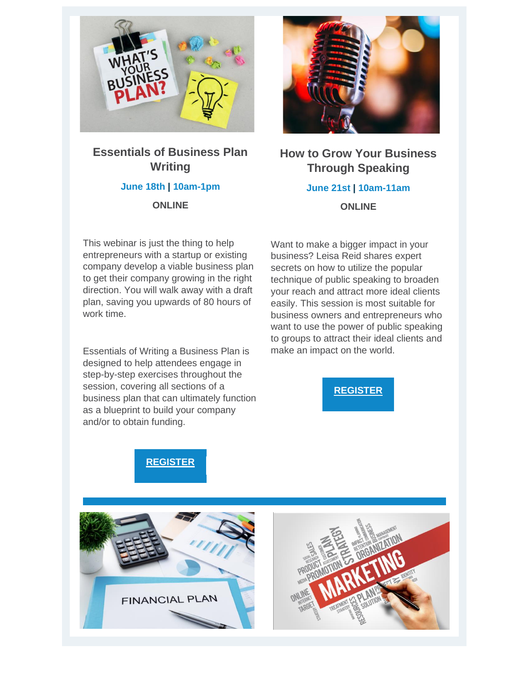

#### **Essentials of Business Plan Writing June 18th | 10am-1pm ONLINE**



**How to Grow Your Business Through Speaking June 21st | 10am-11am ONLINE**

This webinar is just the thing to help entrepreneurs with a startup or existing company develop a viable business plan to get their company growing in the right direction. You will walk away with a draft plan, saving you upwards of 80 hours of work time.

Essentials of Writing a Business Plan is designed to help attendees engage in step-by-step exercises throughout the session, covering all sections of a business plan that can ultimately function as a blueprint to build your company and/or to obtain funding.

Want to make a bigger impact in your business? Leisa Reid shares expert secrets on how to utilize the popular technique of public speaking to broaden your reach and attract more ideal clients easily. This session is most suitable for business owners and entrepreneurs who want to use the power of public speaking to groups to attract their ideal clients and make an impact on the world.





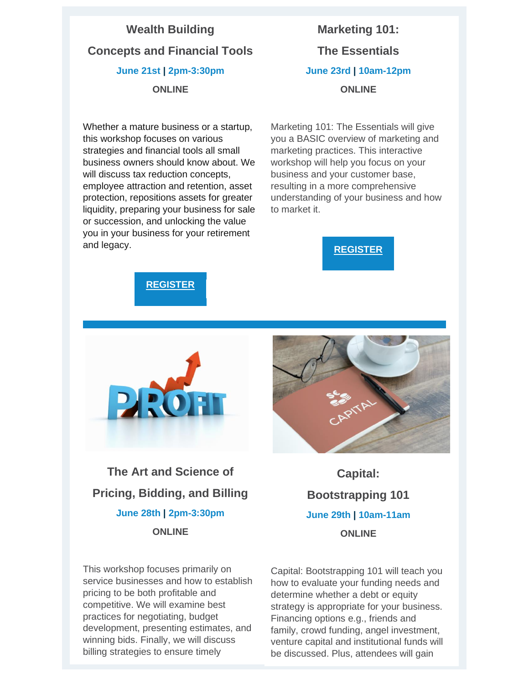## **Wealth Building Concepts and Financial Tools June 21st | 2pm-3:30pm ONLINE**

Whether a mature business or a startup, this workshop focuses on various strategies and financial tools all small business owners should know about. We will discuss tax reduction concepts. employee attraction and retention, asset protection, repositions assets for greater liquidity, preparing your business for sale or succession, and unlocking the value you in your business for your retirement and legacy.

# **Marketing 101: The Essentials June 23rd | 10am-12pm ONLINE**

Marketing 101: The Essentials will give you a BASIC overview of marketing and marketing practices. This interactive workshop will help you focus on your business and your customer base, resulting in a more comprehensive understanding of your business and how to market it.







**The Art and Science of Pricing, Bidding, and Billing June 28th | 2pm-3:30pm ONLINE**

This workshop focuses primarily on service businesses and how to establish pricing to be both profitable and competitive. We will examine best practices for negotiating, budget development, presenting estimates, and winning bids. Finally, we will discuss billing strategies to ensure timely



**Capital: Bootstrapping 101 June 29th | 10am-11am ONLINE**

Capital: Bootstrapping 101 will teach you how to evaluate your funding needs and determine whether a debt or equity strategy is appropriate for your business. Financing options e.g., friends and family, crowd funding, angel investment, venture capital and institutional funds will be discussed. Plus, attendees will gain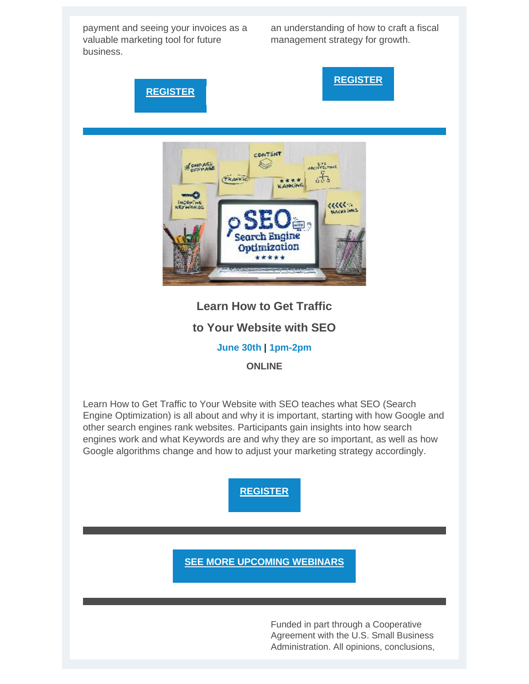payment and seeing your invoices as a valuable marketing tool for future business.

an understanding of how to craft a fiscal management strategy for growth.



**[REGISTER](https://nam12.safelinks.protection.outlook.com/?url=https%3A%2F%2Fr20.rs6.net%2Ftn.jsp%3Ff%3D0015gCc1HySa3oUf7uDCTWhgEkWehf_RzYxKOLGKLrHgJNVN1mpxHTFeshItmE1fMR9yq2XA0uQv3vbavfHs9UuA25UucxIX-32uVfluE09gGwrNuWRz5deqASt1k3Yv0z4X7Olqx8am5v7rDBRmZwyFAXtNUuUrkHwCbtupZWyPwxqHGtxaiJImeYelidCzIxUB04wyzXDSwnHv500mYZh0g%3D%3D%26c%3DOc-0wwwQIE94G6zPR_YMldlYEN7w4q9isqnMg2q2kBmibyRffFA6wg%3D%3D%26ch%3DajgpDt6IMocCf2cny2DQpwOe7bZKIF8mDzE-D8EkYJpIo7oKJjaICw%3D%3D&data=05%7C01%7C%7C5c4766c61ebc4fb063c508da49be6207%7C84df9e7fe9f640afb435aaaaaaaaaaaa%7C1%7C0%7C637903379299023559%7CUnknown%7CTWFpbGZsb3d8eyJWIjoiMC4wLjAwMDAiLCJQIjoiV2luMzIiLCJBTiI6Ik1haWwiLCJXVCI6Mn0%3D%7C3000%7C%7C%7C&sdata=Htriyo0QafSHoYhEFDoLCV2XDyn96bkZihFePvfpHcs%3D&reserved=0)**

**[SEE MORE UPCOMING WEBINARS](https://nam12.safelinks.protection.outlook.com/?url=https%3A%2F%2Fr20.rs6.net%2Ftn.jsp%3Ff%3D0015gCc1HySa3oUf7uDCTWhgEkWehf_RzYxKOLGKLrHgJNVN1mpxHTFeqO17DFkD1AAApi1EvxIOHRSf77c7B30-2Lz_TkLoFE6hB7W2WbrIysNrW5FOgc84X7saaxaVhXzZ73e_cnaq1kFyKJYW-q1d4K1IBoHFmX5pjFycNgmD2g%3D%26c%3DOc-0wwwQIE94G6zPR_YMldlYEN7w4q9isqnMg2q2kBmibyRffFA6wg%3D%3D%26ch%3DajgpDt6IMocCf2cny2DQpwOe7bZKIF8mDzE-D8EkYJpIo7oKJjaICw%3D%3D&data=05%7C01%7C%7C5c4766c61ebc4fb063c508da49be6207%7C84df9e7fe9f640afb435aaaaaaaaaaaa%7C1%7C0%7C637903379299023559%7CUnknown%7CTWFpbGZsb3d8eyJWIjoiMC4wLjAwMDAiLCJQIjoiV2luMzIiLCJBTiI6Ik1haWwiLCJXVCI6Mn0%3D%7C3000%7C%7C%7C&sdata=2mrg%2BRNjkUtWhhXytsqCKJzy6VSFdgXtXyXZ1%2BkqpLI%3D&reserved=0)**

Funded in part through a Cooperative Agreement with the U.S. Small Business Administration. All opinions, conclusions,